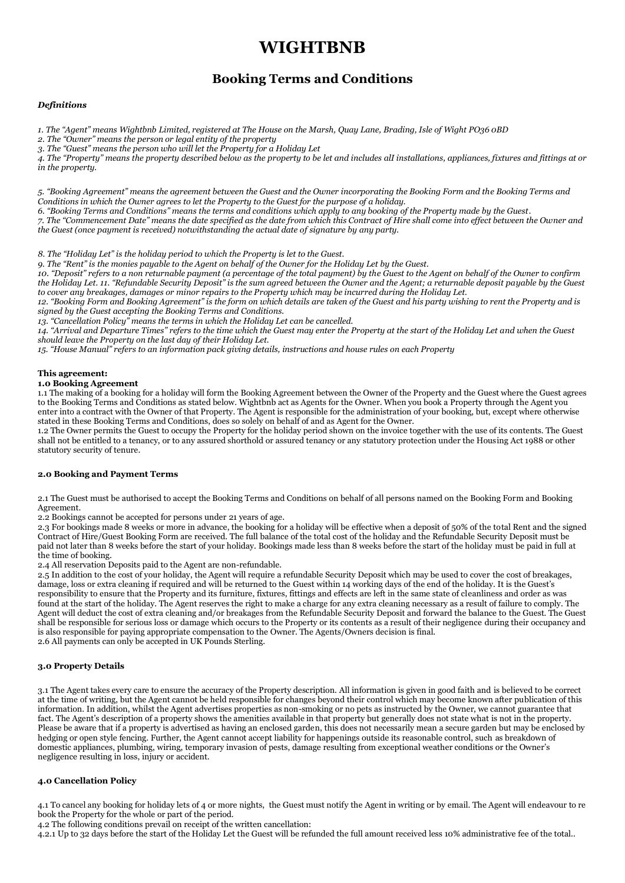# **WIGHTBNB**

## **Booking Terms and Conditions**

## *Definitions*

*1. The "Agent" means Wightbnb Limited, registered at The House on the Marsh, Quay Lane, Brading, Isle of Wight PO36 0BD*

*2. The "Owner" means the person or legal entity of the property*

*3. The "Guest" means the person who will let the Property for a Holiday Let*

*4. The "Property" means the property described below as the property to be let and includes alI installations, appliances, fixtures and fittings at or in the property.* 

*5. "Booking Agreement" means the agreement between the Guest and the Owner incorporating the Booking Form and the Booking Terms and Conditions in which the Owner agrees to let the Property to the Guest for the purpose of a holiday.*

*6. "Booking Terms and Conditions" means the terms and conditions which apply to any booking of the Property made by the Guest.*

*7. The "Commencement Date" means the date specified as the date from which this Contract of Hire shall come into effect between the Owner and the Guest (once payment is received) notwithstanding the actual date of signature by any party.* 

*8. The "Holiday Let" is the holiday period to which the Property is let to the Guest.*

*9. The "Rent" is the monies payable to the Agent on behalf of the Owner for the Holiday Let by the Guest.*

10. "Deposit" refers to a non returnable payment (a percentage of the total payment) by the Guest to the Agent on behalf of the Owner to confirm *the Holiday Let. 11. "Refundable Security Deposit" is the sum agreed between the Owner and the Agent; a returnable deposit payable by the Guest to cover any breakages, damages or minor repairs to the Property which may be incurred during the Holiday Let.*

*12. "Booking Form and Booking Agreement" is the form on which details are taken of the Guest and his party wishing to rent the Property and is signed by the Guest accepting the Booking Terms and Conditions.*

*13. "Cancellation Policy" means the terms in which the Holiday Let can be cancelled.*

*14. "Arrival and Departure Times" refers to the time which the Guest may enter the Property at the start of the Holiday Let and when the Guest should leave the Property on the last day of their Holiday Let.*

*15. "House Manual" refers to an information pack giving details, instructions and house rules on each Property* 

## **This agreement:**

## **1.0 Booking Agreement**

1.1 The making of a booking for a holiday will form the Booking Agreement between the Owner of the Property and the Guest where the Guest agrees to the Booking Terms and Conditions as stated below. Wightbnb act as Agents for the Owner. When you book a Property through the Agent you enter into a contract with the Owner of that Property. The Agent is responsible for the administration of your booking, but, except where otherwise stated in these Booking Terms and Conditions, does so solely on behalf of and as Agent for the Owner.

1.2 The Owner permits the Guest to occupy the Property for the holiday period shown on the invoice together with the use of its contents. The Guest shall not be entitled to a tenancy, or to any assured shorthold or assured tenancy or any statutory protection under the Housing Act 1988 or other statutory security of tenure.

## **2.0 Booking and Payment Terms**

2.1 The Guest must be authorised to accept the Booking Terms and Conditions on behalf of all persons named on the Booking Form and Booking Agreement.

2.2 Bookings cannot be accepted for persons under 21 years of age.

2.3 For bookings made 8 weeks or more in advance, the booking for a holiday will be effective when a deposit of 50% of the total Rent and the signed Contract of Hire/Guest Booking Form are received. The full balance of the total cost of the holiday and the Refundable Security Deposit must be paid not later than 8 weeks before the start of your holiday. Bookings made less than 8 weeks before the start of the holiday must be paid in full at the time of booking.

2.4 All reservation Deposits paid to the Agent are non-refundable.

2.5 In addition to the cost of your holiday, the Agent will require a refundable Security Deposit which may be used to cover the cost of breakages, damage, loss or extra cleaning if required and will be returned to the Guest within 14 working days of the end of the holiday. It is the Guest's responsibility to ensure that the Property and its furniture, fixtures, fittings and effects are left in the same state of cleanliness and order as was found at the start of the holiday. The Agent reserves the right to make a charge for any extra cleaning necessary as a result of failure to comply. The Agent will deduct the cost of extra cleaning and/or breakages from the Refundable Security Deposit and forward the balance to the Guest. The Guest shall be responsible for serious loss or damage which occurs to the Property or its contents as a result of their negligence during their occupancy and is also responsible for paying appropriate compensation to the Owner. The Agents/Owners decision is final. 2.6 All payments can only be accepted in UK Pounds Sterling.

## **3.0 Property Details**

3.1 The Agent takes every care to ensure the accuracy of the Property description. All information is given in good faith and is believed to be correct at the time of writing, but the Agent cannot be held responsible for changes beyond their control which may become known after publication of this information. In addition, whilst the Agent advertises properties as non-smoking or no pets as instructed by the Owner, we cannot guarantee that fact. The Agent's description of a property shows the amenities available in that property but generally does not state what is not in the property. Please be aware that if a property is advertised as having an enclosed garden, this does not necessarily mean a secure garden but may be enclosed by hedging or open style fencing. Further, the Agent cannot accept liability for happenings outside its reasonable control, such as breakdown of domestic appliances, plumbing, wiring, temporary invasion of pests, damage resulting from exceptional weather conditions or the Owner's negligence resulting in loss, injury or accident.

## **4.0 Cancellation Policy**

4.1 To cancel any booking for holiday lets of 4 or more nights, the Guest must notify the Agent in writing or by email. The Agent will endeavour to re book the Property for the whole or part of the period.

4.2 The following conditions prevail on receipt of the written cancellation:

4.2.1 Up to 32 days before the start of the Holiday Let the Guest will be refunded the full amount received less 10% administrative fee of the total..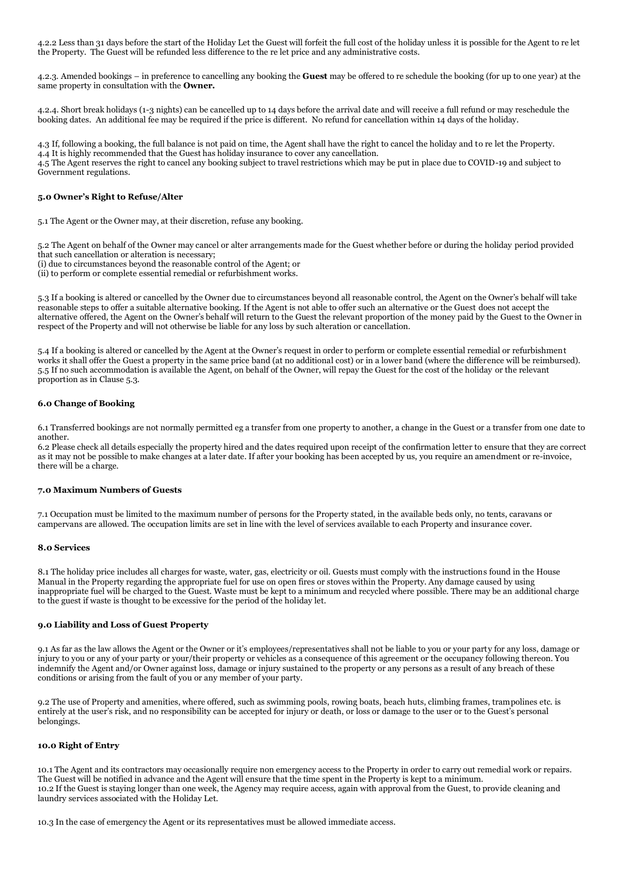4.2.2 Less than 31 days before the start of the Holiday Let the Guest will forfeit the full cost of the holiday unless it is possible for the Agent to re let the Property. The Guest will be refunded less difference to the re let price and any administrative costs.

4.2.3. Amended bookings – in preference to cancelling any booking the **Guest** may be offered to re schedule the booking (for up to one year) at the same property in consultation with the **Owner.**

4.2.4. Short break holidays (1-3 nights) can be cancelled up to 14 days before the arrival date and will receive a full refund or may reschedule the booking dates. An additional fee may be required if the price is different. No refund for cancellation within 14 days of the holiday.

4.3 If, following a booking, the full balance is not paid on time, the Agent shall have the right to cancel the holiday and to re let the Property. 4.4 It is highly recommended that the Guest has holiday insurance to cover any cancellation.

4.5 The Agent reserves the right to cancel any booking subject to travel restrictions which may be put in place due to COVID-19 and subject to Government regulations.

## **5.0 Owner's Right to Refuse/Alter**

5.1 The Agent or the Owner may, at their discretion, refuse any booking.

5.2 The Agent on behalf of the Owner may cancel or alter arrangements made for the Guest whether before or during the holiday period provided that such cancellation or alteration is necessary;

(i) due to circumstances beyond the reasonable control of the Agent; or

(ii) to perform or complete essential remedial or refurbishment works.

5.3 If a booking is altered or cancelled by the Owner due to circumstances beyond all reasonable control, the Agent on the Owner's behalf will take reasonable steps to offer a suitable alternative booking. If the Agent is not able to offer such an alternative or the Guest does not accept the alternative offered, the Agent on the Owner's behalf will return to the Guest the relevant proportion of the money paid by the Guest to the Owner in respect of the Property and will not otherwise be liable for any loss by such alteration or cancellation.

5.4 If a booking is altered or cancelled by the Agent at the Owner's request in order to perform or complete essential remedial or refurbishment works it shall offer the Guest a property in the same price band (at no additional cost) or in a lower band (where the difference will be reimbursed). 5.5 If no such accommodation is available the Agent, on behalf of the Owner, will repay the Guest for the cost of the holiday or the relevant proportion as in Clause 5.3.

## **6.0 Change of Booking**

6.1 Transferred bookings are not normally permitted eg a transfer from one property to another, a change in the Guest or a transfer from one date to another.

6.2 Please check all details especially the property hired and the dates required upon receipt of the confirmation letter to ensure that they are correct as it may not be possible to make changes at a later date. If after your booking has been accepted by us, you require an amendment or re-invoice, there will be a charge.

## **7.0 Maximum Numbers of Guests**

7.1 Occupation must be limited to the maximum number of persons for the Property stated, in the available beds only, no tents, caravans or campervans are allowed. The occupation limits are set in line with the level of services available to each Property and insurance cover.

## **8.0 Services**

8.1 The holiday price includes all charges for waste, water, gas, electricity or oil. Guests must comply with the instructions found in the House Manual in the Property regarding the appropriate fuel for use on open fires or stoves within the Property. Any damage caused by using inappropriate fuel will be charged to the Guest. Waste must be kept to a minimum and recycled where possible. There may be an additional charge to the guest if waste is thought to be excessive for the period of the holiday let.

## **9.0 Liability and Loss of Guest Property**

9.1 As far as the law allows the Agent or the Owner or it's employees/representatives shall not be liable to you or your party for any loss, damage or injury to you or any of your party or your/their property or vehicles as a consequence of this agreement or the occupancy following thereon. You indemnify the Agent and/or Owner against loss, damage or injury sustained to the property or any persons as a result of any breach of these conditions or arising from the fault of you or any member of your party.

9.2 The use of Property and amenities, where offered, such as swimming pools, rowing boats, beach huts, climbing frames, trampolines etc. is entirely at the user's risk, and no responsibility can be accepted for injury or death, or loss or damage to the user or to the Guest's personal belongings.

#### **10.0 Right of Entry**

10.1 The Agent and its contractors may occasionally require non emergency access to the Property in order to carry out remedial work or repairs. The Guest will be notified in advance and the Agent will ensure that the time spent in the Property is kept to a minimum. 10.2 If the Guest is staying longer than one week, the Agency may require access, again with approval from the Guest, to provide cleaning and laundry services associated with the Holiday Let.

10.3 In the case of emergency the Agent or its representatives must be allowed immediate access.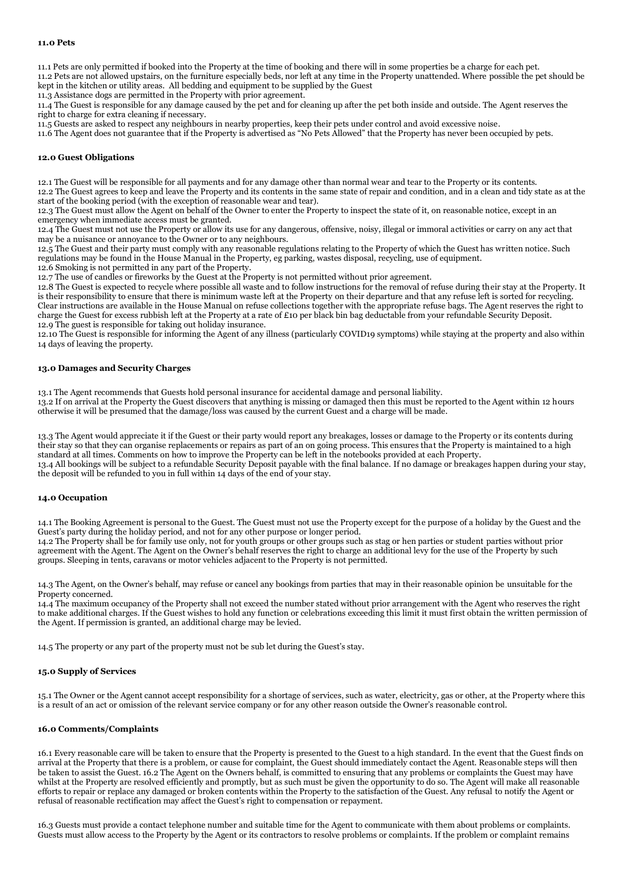11.1 Pets are only permitted if booked into the Property at the time of booking and there will in some properties be a charge for each pet.

11.2 Pets are not allowed upstairs, on the furniture especially beds, nor left at any time in the Property unattended. Where possible the pet should be kept in the kitchen or utility areas. All bedding and equipment to be supplied by the Guest

11.3 Assistance dogs are permitted in the Property with prior agreement.

11.4 The Guest is responsible for any damage caused by the pet and for cleaning up after the pet both inside and outside. The Agent reserves the right to charge for extra cleaning if necessary.

11.5 Guests are asked to respect any neighbours in nearby properties, keep their pets under control and avoid excessive noise.

11.6 The Agent does not guarantee that if the Property is advertised as "No Pets Allowed" that the Property has never been occupied by pets.

#### **12.0 Guest Obligations**

12.1 The Guest will be responsible for all payments and for any damage other than normal wear and tear to the Property or its contents. 12.2 The Guest agrees to keep and leave the Property and its contents in the same state of repair and condition, and in a clean and tidy state as at the start of the booking period (with the exception of reasonable wear and tear).

12.3 The Guest must allow the Agent on behalf of the Owner to enter the Property to inspect the state of it, on reasonable notice, except in an emergency when immediate access must be granted.

12.4 The Guest must not use the Property or allow its use for any dangerous, offensive, noisy, illegal or immoral activities or carry on any act that may be a nuisance or annoyance to the Owner or to any neighbours.

12.5 The Guest and their party must comply with any reasonable regulations relating to the Property of which the Guest has written notice. Such regulations may be found in the House Manual in the Property, eg parking, wastes disposal, recycling, use of equipment.

12.6 Smoking is not permitted in any part of the Property.

12.7 The use of candles or fireworks by the Guest at the Property is not permitted without prior agreement.

12.8 The Guest is expected to recycle where possible all waste and to follow instructions for the removal of refuse during their stay at the Property. It is their responsibility to ensure that there is minimum waste left at the Property on their departure and that any refuse left is sorted for recycling. Clear instructions are available in the House Manual on refuse collections together with the appropriate refuse bags. The Agent reserves the right to charge the Guest for excess rubbish left at the Property at a rate of £10 per black bin bag deductable from your refundable Security Deposit. 12.9 The guest is responsible for taking out holiday insurance.

12.10 The Guest is responsible for informing the Agent of any illness (particularly COVID19 symptoms) while staying at the property and also within 14 days of leaving the property.

#### **13.0 Damages and Security Charges**

13.1 The Agent recommends that Guests hold personal insurance for accidental damage and personal liability.

13.2 If on arrival at the Property the Guest discovers that anything is missing or damaged then this must be reported to the Agent within 12 hours otherwise it will be presumed that the damage/loss was caused by the current Guest and a charge will be made.

13.3 The Agent would appreciate it if the Guest or their party would report any breakages, losses or damage to the Property or its contents during their stay so that they can organise replacements or repairs as part of an on going process. This ensures that the Property is maintained to a high standard at all times. Comments on how to improve the Property can be left in the notebooks provided at each Property. 13.4 All bookings will be subject to a refundable Security Deposit payable with the final balance. If no damage or breakages happen during your stay, the deposit will be refunded to you in full within 14 days of the end of your stay.

#### **14.0 Occupation**

14.1 The Booking Agreement is personal to the Guest. The Guest must not use the Property except for the purpose of a holiday by the Guest and the Guest's party during the holiday period, and not for any other purpose or longer period.

14.2 The Property shall be for family use only, not for youth groups or other groups such as stag or hen parties or student parties without prior agreement with the Agent. The Agent on the Owner's behalf reserves the right to charge an additional levy for the use of the Property by such groups. Sleeping in tents, caravans or motor vehicles adjacent to the Property is not permitted.

14.3 The Agent, on the Owner's behalf, may refuse or cancel any bookings from parties that may in their reasonable opinion be unsuitable for the Property concerned.

14.4 The maximum occupancy of the Property shall not exceed the number stated without prior arrangement with the Agent who reserves the right to make additional charges. If the Guest wishes to hold any function or celebrations exceeding this limit it must first obtain the written permission of the Agent. If permission is granted, an additional charge may be levied.

14.5 The property or any part of the property must not be sub let during the Guest's stay.

## **15.0 Supply of Services**

15.1 The Owner or the Agent cannot accept responsibility for a shortage of services, such as water, electricity, gas or other, at the Property where this is a result of an act or omission of the relevant service company or for any other reason outside the Owner's reasonable control.

#### **16.0 Comments/Complaints**

16.1 Every reasonable care will be taken to ensure that the Property is presented to the Guest to a high standard. In the event that the Guest finds on arrival at the Property that there is a problem, or cause for complaint, the Guest should immediately contact the Agent. Reasonable steps will then be taken to assist the Guest. 16.2 The Agent on the Owners behalf, is committed to ensuring that any problems or complaints the Guest may have whilst at the Property are resolved efficiently and promptly, but as such must be given the opportunity to do so. The Agent will make all reasonable efforts to repair or replace any damaged or broken contents within the Property to the satisfaction of the Guest. Any refusal to notify the Agent or refusal of reasonable rectification may affect the Guest's right to compensation or repayment.

16.3 Guests must provide a contact telephone number and suitable time for the Agent to communicate with them about problems or complaints. Guests must allow access to the Property by the Agent or its contractors to resolve problems or complaints. If the problem or complaint remains